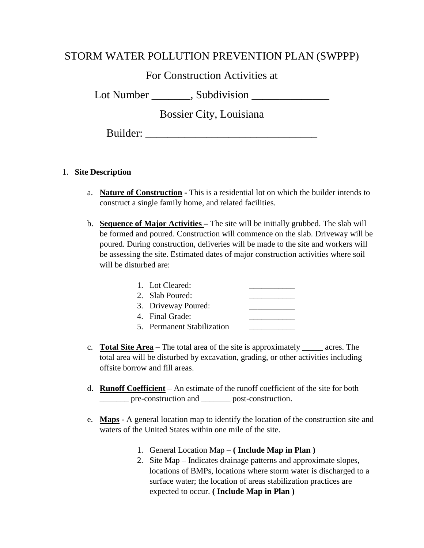## STORM WATER POLLUTION PREVENTION PLAN (SWPPP)

# For Construction Activities at

Lot Number  $\qquad \qquad$ , Subdivision

Bossier City, Louisiana

Builder:

### 1. **Site Description**

- a. **Nature of Construction** This is a residential lot on which the builder intends to construct a single family home, and related facilities.
- b. **Sequence of Major Activities –** The site will be initially grubbed. The slab will be formed and poured. Construction will commence on the slab. Driveway will be poured. During construction, deliveries will be made to the site and workers will be assessing the site. Estimated dates of major construction activities where soil will be disturbed are:

| 1. Lot Cleared:            |  |
|----------------------------|--|
| 2. Slab Poured:            |  |
| 3. Driveway Poured:        |  |
| 4. Final Grade:            |  |
| 5. Permanent Stabilization |  |

- c. **Total Site Area** The total area of the site is approximately \_\_\_\_\_ acres. The total area will be disturbed by excavation, grading, or other activities including offsite borrow and fill areas.
- d. **Runoff Coefficient** An estimate of the runoff coefficient of the site for both \_\_\_\_\_\_\_ pre-construction and \_\_\_\_\_\_\_ post-construction.
- e. **Maps** A general location map to identify the location of the construction site and waters of the United States within one mile of the site.
	- 1. General Location Map **( Include Map in Plan )**
	- 2. Site Map Indicates drainage patterns and approximate slopes, locations of BMPs, locations where storm water is discharged to a surface water; the location of areas stabilization practices are expected to occur. **( Include Map in Plan )**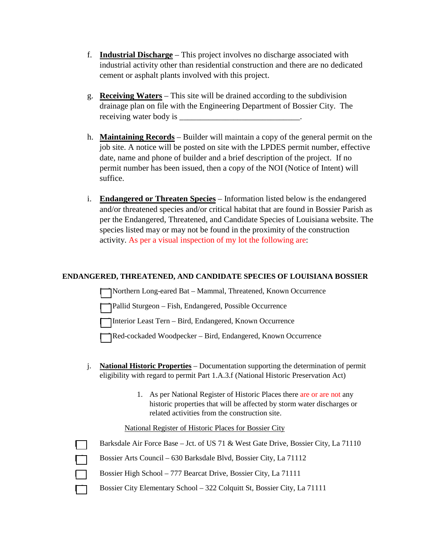- f. **Industrial Discharge** This project involves no discharge associated with industrial activity other than residential construction and there are no dedicated cement or asphalt plants involved with this project.
- g. **Receiving Waters** This site will be drained according to the subdivision drainage plan on file with the Engineering Department of Bossier City. The receiving water body is
- h. **Maintaining Records** Builder will maintain a copy of the general permit on the job site. A notice will be posted on site with the LPDES permit number, effective date, name and phone of builder and a brief description of the project. If no permit number has been issued, then a copy of the NOI (Notice of Intent) will suffice.
- i. **Endangered or Threaten Species** Information listed below is the endangered and/or threatened species and/or critical habitat that are found in Bossier Parish as per the Endangered, Threatened, and Candidate Species of Louisiana website. The species listed may or may not be found in the proximity of the construction activity. As per a visual inspection of my lot the following are:

### **ENDANGERED, THREATENED, AND CANDIDATE SPECIES OF LOUISIANA BOSSIER**

[ ] Northern Long-eared Bat – Mammal, Threatened, Known Occurrence

[ ] Pallid Sturgeon – Fish, Endangered, Possible Occurrence

[ ] Interior Least Tern – Bird, Endangered, Known Occurrence

[ ] Red-cockaded Woodpecker – Bird, Endangered, Known Occurrence

- j. **National Historic Properties** Documentation supporting the determination of permit eligibility with regard to permit Part 1.A.3.f (National Historic Preservation Act)
	- 1. As per National Register of Historic Places there are or are not any historic properties that will be affected by storm water discharges or related activities from the construction site.

#### National Register of Historic Places for Bossier City

| Barksdale Air Force Base – Jct. of US 71 & West Gate Drive, Bossier City, La 71110 |  |  |  |  |
|------------------------------------------------------------------------------------|--|--|--|--|
|------------------------------------------------------------------------------------|--|--|--|--|

- [ ] Bossier Arts Council 630 Barksdale Blvd, Bossier City, La 71112
- **Example 3 Bossier High School 777 Bearcat Drive, Bossier City, La 71111** 
	- [ ] Bossier City Elementary School 322 Colquitt St, Bossier City, La 71111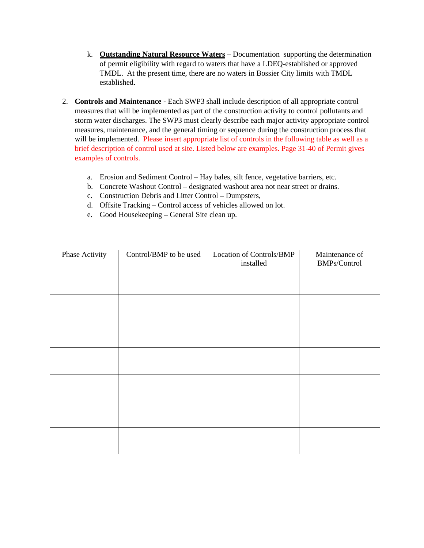- k. **Outstanding Natural Resource Waters** Documentation supporting the determination of permit eligibility with regard to waters that have a LDEQ-established or approved TMDL. At the present time, there are no waters in Bossier City limits with TMDL established.
- 2. **Controls and Maintenance -** Each SWP3 shall include description of all appropriate control measures that will be implemented as part of the construction activity to control pollutants and storm water discharges. The SWP3 must clearly describe each major activity appropriate control measures, maintenance, and the general timing or sequence during the construction process that will be implemented. Please insert appropriate list of controls in the following table as well as a brief description of control used at site. Listed below are examples. Page 31-40 of Permit gives examples of controls.
	- a. Erosion and Sediment Control Hay bales, silt fence, vegetative barriers, etc.
	- b. Concrete Washout Control designated washout area not near street or drains.
	- c. Construction Debris and Litter Control Dumpsters,
	- d. Offsite Tracking Control access of vehicles allowed on lot.
	- e. Good Housekeeping General Site clean up.

| Phase Activity | Control/BMP to be used | Location of Controls/BMP<br>installed | Maintenance of<br>BMPs/Control |
|----------------|------------------------|---------------------------------------|--------------------------------|
|                |                        |                                       |                                |
|                |                        |                                       |                                |
|                |                        |                                       |                                |
|                |                        |                                       |                                |
|                |                        |                                       |                                |
|                |                        |                                       |                                |
|                |                        |                                       |                                |
|                |                        |                                       |                                |
|                |                        |                                       |                                |
|                |                        |                                       |                                |
|                |                        |                                       |                                |
|                |                        |                                       |                                |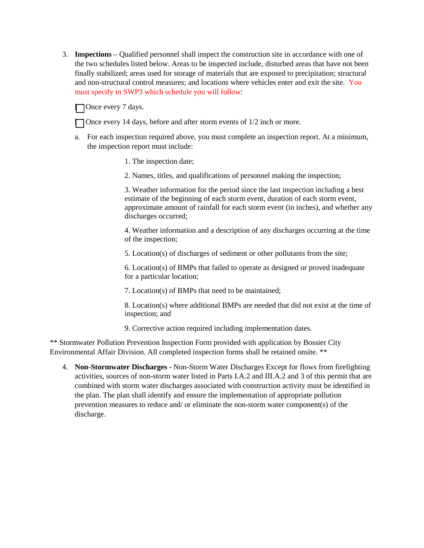3. **Inspections** – Qualified personnel shall inspect the construction site in accordance with one of the two schedules listed below. Areas to be inspected include, disturbed areas that have not been finally stabilized; areas used for storage of materials that are exposed to precipitation; structural and non-structural control measures; and locations where vehicles enter and exit the site. You must specify in SWP3 which schedule you will follow:

□ Once every 7 days.

 $\Box$  Once every 14 days, before and after storm events of 1/2 inch or more.

- a. For each inspection required above, you must complete an inspection report. At a minimum, the inspection report must include:
	- 1. The inspection date;
	- 2. Names, titles, and qualifications of personnel making the inspection;

3. Weather information for the period since the last inspection including a best estimate of the beginning of each storm event, duration of each storm event, approximate amount of rainfall for each storm event (in inches), and whether any discharges occurred;

4. Weather information and a description of any discharges occurring at the time of the inspection;

5. Location(s) of discharges of sediment or other pollutants from the site;

6. Location(s) of BMPs that failed to operate as designed or proved inadequate for a particular location;

7. Location(s) of BMPs that need to be maintained;

8. Location(s) where additional BMPs are needed that did not exist at the time of inspection; and

9. Corrective action required including implementation dates.

\*\* Stormwater Pollution Prevention Inspection Form provided with application by Bossier City Environmental Affair Division. All completed inspection forms shall be retained onsite. \*\*

4. **Non-Stormwater Discharges** - Non-Storm Water Discharges Except for flows from firefighting activities, sources of non-storm water listed in Parts I.A.2 and III.A.2 and 3 of this permit that are combined with storm water discharges associated with construction activity must be identified in the plan. The plan shall identify and ensure the implementation of appropriate pollution prevention measures to reduce and/ or eliminate the non-storm water component(s) of the discharge.